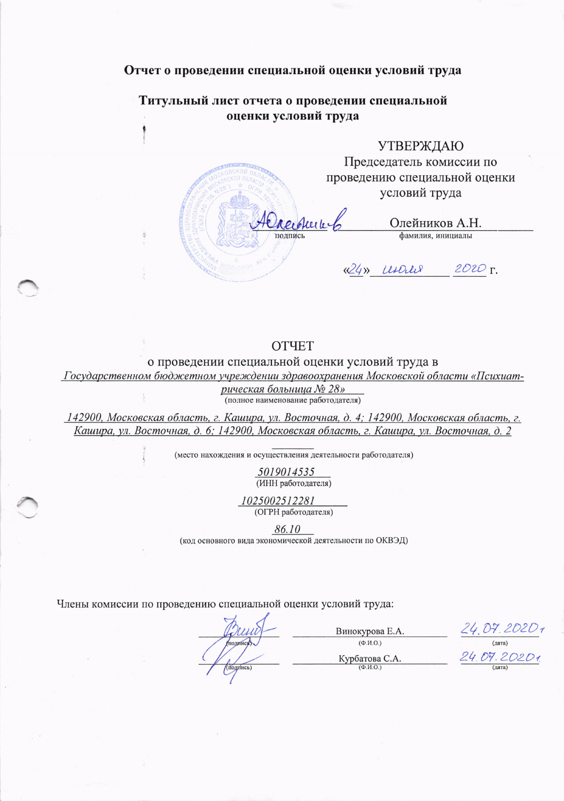## Отчет о проведении специальной оценки условий труда

Титульный лист отчета о проведении специальной оценки условий труда

**УТВЕРЖДАЮ** 

Председатель комиссии по проведению специальной оценки условий труда

reicherter Олейников А.Н. фамилия, инициалы (24) UNOUR  $2020$   $r$ .

## **OTHET**

о проведении специальной оценки условий труда в

Государственном бюджетном учреждении здравоохранения Московской области «Психиат-

рическая больница № 28»

(полное наименование работодателя)

142900, Московская область, г. Кашира, ул. Восточная, д. 4; 142900, Московская область, г. Кашира, ул. Восточная, д. 6; 142900, Московская область, г. Кашира, ул. Восточная, д. 2

(место нахождения и осуществления деятельности работодателя)

5019014535 (ИНН работодателя)

1025002512281 (ОГРН работодателя)

86.10

(код основного вида экономической деятельности по ОКВЭД)

Члены комиссии по проведению специальной оценки условий труда:

 $24.07.2020$ Винокурова Е.А.  $(\Phi$ .*H*.O.)  $\sqrt{1 + \frac{1}{2}}$ 24.09.20201 Курбатова С.А. подпись  $(\Phi$ <sub>M</sub>.O<sub>.</sub>)